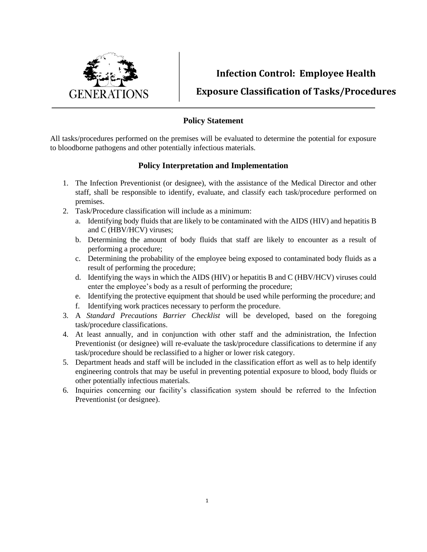

**Infection Control: Employee Health**

**Exposure Classification of Tasks/Procedures**

## **Policy Statement**

All tasks/procedures performed on the premises will be evaluated to determine the potential for exposure to bloodborne pathogens and other potentially infectious materials.

## **Policy Interpretation and Implementation**

- 1. The Infection Preventionist (or designee), with the assistance of the Medical Director and other staff, shall be responsible to identify, evaluate, and classify each task/procedure performed on premises.
- 2. Task/Procedure classification will include as a minimum:
	- a. Identifying body fluids that are likely to be contaminated with the AIDS (HIV) and hepatitis B and C (HBV/HCV) viruses;
	- b. Determining the amount of body fluids that staff are likely to encounter as a result of performing a procedure;
	- c. Determining the probability of the employee being exposed to contaminated body fluids as a result of performing the procedure;
	- d. Identifying the ways in which the AIDS (HIV) or hepatitis B and C (HBV/HCV) viruses could enter the employee's body as a result of performing the procedure;
	- e. Identifying the protective equipment that should be used while performing the procedure; and
	- f. Identifying work practices necessary to perform the procedure.
- 3. A *Standard Precautions Barrier Checklist* will be developed, based on the foregoing task/procedure classifications.
- 4. At least annually, and in conjunction with other staff and the administration, the Infection Preventionist (or designee) will re-evaluate the task/procedure classifications to determine if any task/procedure should be reclassified to a higher or lower risk category.
- 5. Department heads and staff will be included in the classification effort as well as to help identify engineering controls that may be useful in preventing potential exposure to blood, body fluids or other potentially infectious materials.
- 6. Inquiries concerning our facility's classification system should be referred to the Infection Preventionist (or designee).